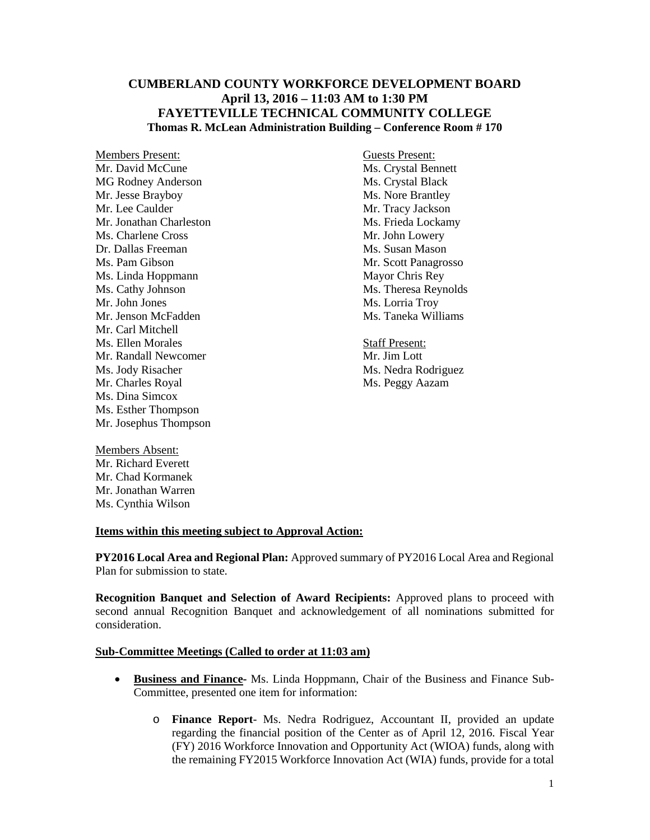# **CUMBERLAND COUNTY WORKFORCE DEVELOPMENT BOARD April 13, 2016 – 11:03 AM to 1:30 PM FAYETTEVILLE TECHNICAL COMMUNITY COLLEGE Thomas R. McLean Administration Building – Conference Room # 170**

Members Present: Guests Present: Mr. David McCune<br>
MS. Crystal Bennett<br>
MS. Crystal Black<br>
Ms. Crystal Black MG Rodney Anderson Mr. Jesse Brayboy Ms. Nore Brantley Mr. Lee Caulder Mr. Tracy Jackson Mr. Jonathan Charleston Ms. Frieda Lockamy Ms. Charlene Cross Mr. John Lowery Dr. Dallas Freeman Ms. Susan Mason Ms. Pam Gibson Mr. Scott Panagrosso<br>
Ms. Linda Hoppmann Ms. Cott Panagrosso Ms. Linda Hoppmann<br>Ms. Cathy Johnson Ms. Cathy Johnson Ms. Theresa Reynolds<br>
Mr. John Jones Ms. Lorria Trov Mr. Jenson McFadden Mr. Carl Mitchell **Ms. Ellen Morales** Staff Present: Mr. Randall Newcomer Mr. Jim Lott Ms. Jody Risacher Ms. Nedra Rodriguez Mr. Charles Royal Ms. Peggy Aazam Ms. Dina Simcox Ms. Esther Thompson Mr. Josephus Thompson

Ms. Lorria Troy<br>Ms. Taneka Williams

Members Absent: Mr. Richard Everett Mr. Chad Kormanek Mr. Jonathan Warren Ms. Cynthia Wilson

# **Items within this meeting subject to Approval Action:**

**PY2016 Local Area and Regional Plan:** Approved summary of PY2016 Local Area and Regional Plan for submission to state.

**Recognition Banquet and Selection of Award Recipients:** Approved plans to proceed with second annual Recognition Banquet and acknowledgement of all nominations submitted for consideration.

### **Sub-Committee Meetings (Called to order at 11:03 am)**

- **Business and Finance-** Ms. Linda Hoppmann, Chair of the Business and Finance Sub-Committee, presented one item for information:
	- o **Finance Report** Ms. Nedra Rodriguez, Accountant II, provided an update regarding the financial position of the Center as of April 12, 2016. Fiscal Year (FY) 2016 Workforce Innovation and Opportunity Act (WIOA) funds, along with the remaining FY2015 Workforce Innovation Act (WIA) funds, provide for a total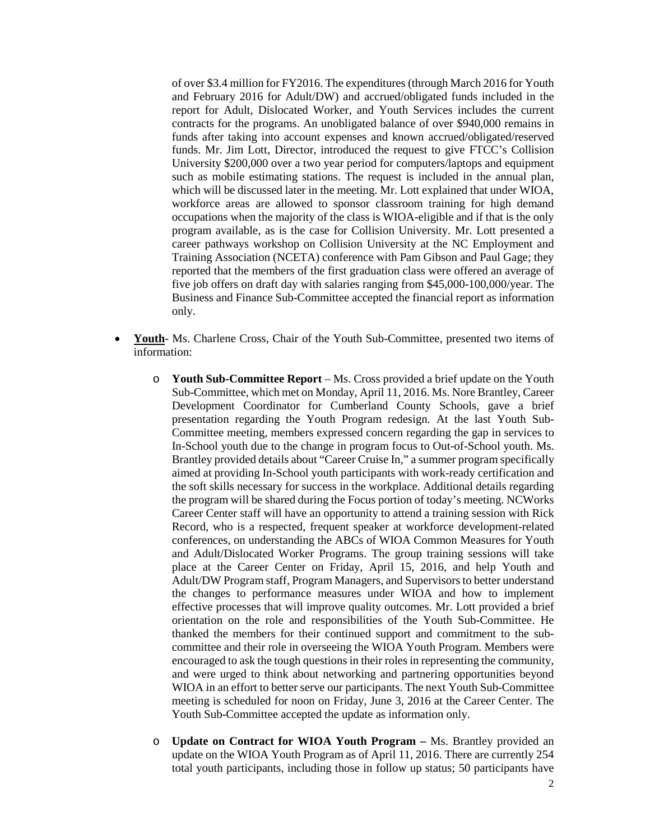of over \$3.4 million for FY2016. The expenditures (through March 2016 for Youth and February 2016 for Adult/DW) and accrued/obligated funds included in the report for Adult, Dislocated Worker, and Youth Services includes the current contracts for the programs. An unobligated balance of over \$940,000 remains in funds after taking into account expenses and known accrued/obligated/reserved funds. Mr. Jim Lott, Director, introduced the request to give FTCC's Collision University \$200,000 over a two year period for computers/laptops and equipment such as mobile estimating stations. The request is included in the annual plan, which will be discussed later in the meeting. Mr. Lott explained that under WIOA, workforce areas are allowed to sponsor classroom training for high demand occupations when the majority of the class is WIOA-eligible and if that is the only program available, as is the case for Collision University. Mr. Lott presented a career pathways workshop on Collision University at the NC Employment and Training Association (NCETA) conference with Pam Gibson and Paul Gage; they reported that the members of the first graduation class were offered an average of five job offers on draft day with salaries ranging from \$45,000-100,000/year. The Business and Finance Sub-Committee accepted the financial report as information only.

- **Youth** Ms. Charlene Cross, Chair of the Youth Sub-Committee, presented two items of information:
	- o **Youth Sub-Committee Report** Ms. Cross provided a brief update on the Youth Sub-Committee, which met on Monday, April 11, 2016. Ms. Nore Brantley, Career Development Coordinator for Cumberland County Schools, gave a brief presentation regarding the Youth Program redesign. At the last Youth Sub-Committee meeting, members expressed concern regarding the gap in services to In-School youth due to the change in program focus to Out-of-School youth. Ms. Brantley provided details about "Career Cruise In," a summer program specifically aimed at providing In-School youth participants with work-ready certification and the soft skills necessary for success in the workplace. Additional details regarding the program will be shared during the Focus portion of today's meeting. NCWorks Career Center staff will have an opportunity to attend a training session with Rick Record, who is a respected, frequent speaker at workforce development-related conferences, on understanding the ABCs of WIOA Common Measures for Youth and Adult/Dislocated Worker Programs. The group training sessions will take place at the Career Center on Friday, April 15, 2016, and help Youth and Adult/DW Program staff, Program Managers, and Supervisors to better understand the changes to performance measures under WIOA and how to implement effective processes that will improve quality outcomes. Mr. Lott provided a brief orientation on the role and responsibilities of the Youth Sub-Committee. He thanked the members for their continued support and commitment to the subcommittee and their role in overseeing the WIOA Youth Program. Members were encouraged to ask the tough questions in their roles in representing the community, and were urged to think about networking and partnering opportunities beyond WIOA in an effort to better serve our participants. The next Youth Sub-Committee meeting is scheduled for noon on Friday, June 3, 2016 at the Career Center. The Youth Sub-Committee accepted the update as information only.
	- o **Update on Contract for WIOA Youth Program –** Ms. Brantley provided an update on the WIOA Youth Program as of April 11, 2016. There are currently 254 total youth participants, including those in follow up status; 50 participants have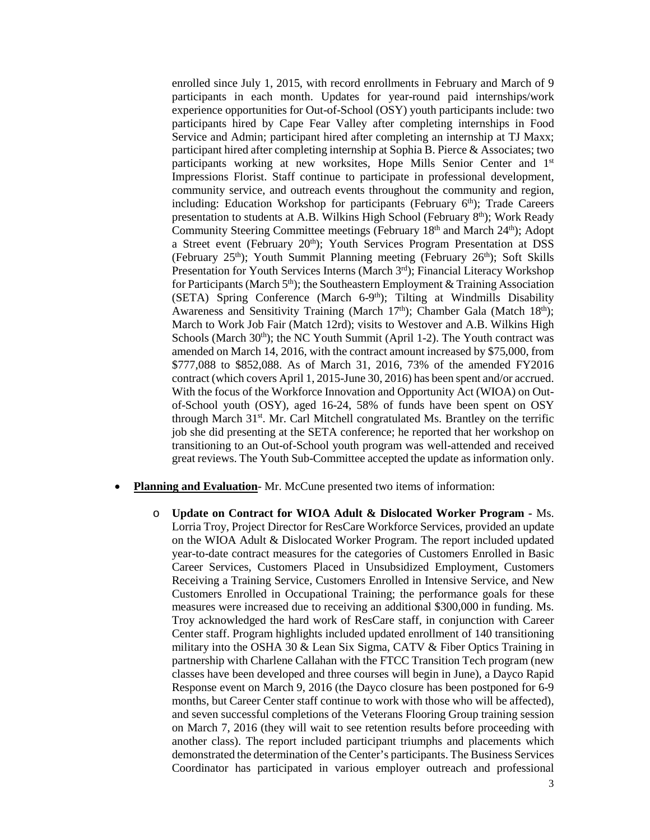enrolled since July 1, 2015, with record enrollments in February and March of 9 participants in each month. Updates for year-round paid internships/work experience opportunities for Out-of-School (OSY) youth participants include: two participants hired by Cape Fear Valley after completing internships in Food Service and Admin; participant hired after completing an internship at TJ Maxx; participant hired after completing internship at Sophia B. Pierce & Associates; two participants working at new worksites, Hope Mills Senior Center and 1st Impressions Florist. Staff continue to participate in professional development, community service, and outreach events throughout the community and region, including: Education Workshop for participants (February  $6<sup>th</sup>$ ); Trade Careers presentation to students at A.B. Wilkins High School (February  $8<sup>th</sup>$ ); Work Ready Community Steering Committee meetings (February 18<sup>th</sup> and March 24<sup>th</sup>); Adopt a Street event (February 20<sup>th</sup>); Youth Services Program Presentation at DSS (February 25<sup>th</sup>); Youth Summit Planning meeting (February 26<sup>th</sup>); Soft Skills Presentation for Youth Services Interns (March 3<sup>rd</sup>); Financial Literacy Workshop for Participants (March  $5<sup>th</sup>$ ); the Southeastern Employment & Training Association (SETA) Spring Conference (March 6-9<sup>th</sup>); Tilting at Windmills Disability Awareness and Sensitivity Training (March  $17<sup>th</sup>$ ); Chamber Gala (Match  $18<sup>th</sup>$ ); March to Work Job Fair (Match 12rd); visits to Westover and A.B. Wilkins High Schools (March  $30<sup>th</sup>$ ); the NC Youth Summit (April 1-2). The Youth contract was amended on March 14, 2016, with the contract amount increased by \$75,000, from \$777,088 to \$852,088. As of March 31, 2016, 73% of the amended FY2016 contract (which covers April 1, 2015-June 30, 2016) has been spent and/or accrued. With the focus of the Workforce Innovation and Opportunity Act (WIOA) on Outof-School youth (OSY), aged 16-24, 58% of funds have been spent on OSY through March 31st. Mr. Carl Mitchell congratulated Ms. Brantley on the terrific job she did presenting at the SETA conference; he reported that her workshop on transitioning to an Out-of-School youth program was well-attended and received great reviews. The Youth Sub-Committee accepted the update as information only.

- **Planning and Evaluation-Mr. McCune presented two items of information:** 
	- o **Update on Contract for WIOA Adult & Dislocated Worker Program -** Ms. Lorria Troy, Project Director for ResCare Workforce Services, provided an update on the WIOA Adult & Dislocated Worker Program. The report included updated year-to-date contract measures for the categories of Customers Enrolled in Basic Career Services, Customers Placed in Unsubsidized Employment, Customers Receiving a Training Service, Customers Enrolled in Intensive Service, and New Customers Enrolled in Occupational Training; the performance goals for these measures were increased due to receiving an additional \$300,000 in funding. Ms. Troy acknowledged the hard work of ResCare staff, in conjunction with Career Center staff. Program highlights included updated enrollment of 140 transitioning military into the OSHA 30 & Lean Six Sigma, CATV & Fiber Optics Training in partnership with Charlene Callahan with the FTCC Transition Tech program (new classes have been developed and three courses will begin in June), a Dayco Rapid Response event on March 9, 2016 (the Dayco closure has been postponed for 6-9 months, but Career Center staff continue to work with those who will be affected), and seven successful completions of the Veterans Flooring Group training session on March 7, 2016 (they will wait to see retention results before proceeding with another class). The report included participant triumphs and placements which demonstrated the determination of the Center's participants. The Business Services Coordinator has participated in various employer outreach and professional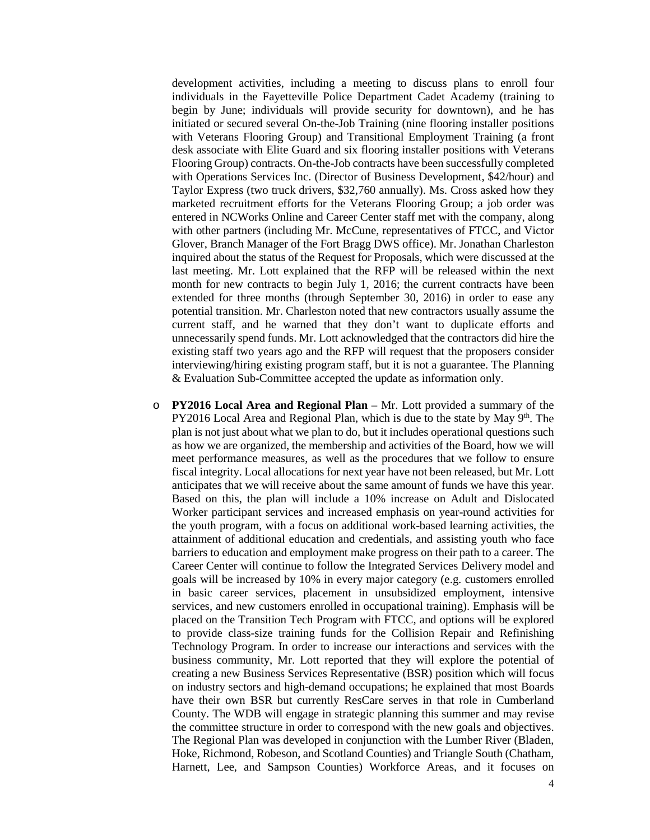development activities, including a meeting to discuss plans to enroll four individuals in the Fayetteville Police Department Cadet Academy (training to begin by June; individuals will provide security for downtown), and he has initiated or secured several On-the-Job Training (nine flooring installer positions with Veterans Flooring Group) and Transitional Employment Training (a front desk associate with Elite Guard and six flooring installer positions with Veterans Flooring Group) contracts. On-the-Job contracts have been successfully completed with Operations Services Inc. (Director of Business Development, \$42/hour) and Taylor Express (two truck drivers, \$32,760 annually). Ms. Cross asked how they marketed recruitment efforts for the Veterans Flooring Group; a job order was entered in NCWorks Online and Career Center staff met with the company, along with other partners (including Mr. McCune, representatives of FTCC, and Victor Glover, Branch Manager of the Fort Bragg DWS office). Mr. Jonathan Charleston inquired about the status of the Request for Proposals, which were discussed at the last meeting. Mr. Lott explained that the RFP will be released within the next month for new contracts to begin July 1, 2016; the current contracts have been extended for three months (through September 30, 2016) in order to ease any potential transition. Mr. Charleston noted that new contractors usually assume the current staff, and he warned that they don't want to duplicate efforts and unnecessarily spend funds. Mr. Lott acknowledged that the contractors did hire the existing staff two years ago and the RFP will request that the proposers consider interviewing/hiring existing program staff, but it is not a guarantee. The Planning & Evaluation Sub-Committee accepted the update as information only.

o **PY2016 Local Area and Regional Plan** – Mr. Lott provided a summary of the  $PY2016$  Local Area and Regional Plan, which is due to the state by May  $9<sup>th</sup>$ . The plan is not just about what we plan to do, but it includes operational questions such as how we are organized, the membership and activities of the Board, how we will meet performance measures, as well as the procedures that we follow to ensure fiscal integrity. Local allocations for next year have not been released, but Mr. Lott anticipates that we will receive about the same amount of funds we have this year. Based on this, the plan will include a 10% increase on Adult and Dislocated Worker participant services and increased emphasis on year-round activities for the youth program, with a focus on additional work-based learning activities, the attainment of additional education and credentials, and assisting youth who face barriers to education and employment make progress on their path to a career. The Career Center will continue to follow the Integrated Services Delivery model and goals will be increased by 10% in every major category (e.g. customers enrolled in basic career services, placement in unsubsidized employment, intensive services, and new customers enrolled in occupational training). Emphasis will be placed on the Transition Tech Program with FTCC, and options will be explored to provide class-size training funds for the Collision Repair and Refinishing Technology Program. In order to increase our interactions and services with the business community, Mr. Lott reported that they will explore the potential of creating a new Business Services Representative (BSR) position which will focus on industry sectors and high-demand occupations; he explained that most Boards have their own BSR but currently ResCare serves in that role in Cumberland County. The WDB will engage in strategic planning this summer and may revise the committee structure in order to correspond with the new goals and objectives. The Regional Plan was developed in conjunction with the Lumber River (Bladen, Hoke, Richmond, Robeson, and Scotland Counties) and Triangle South (Chatham, Harnett, Lee, and Sampson Counties) Workforce Areas, and it focuses on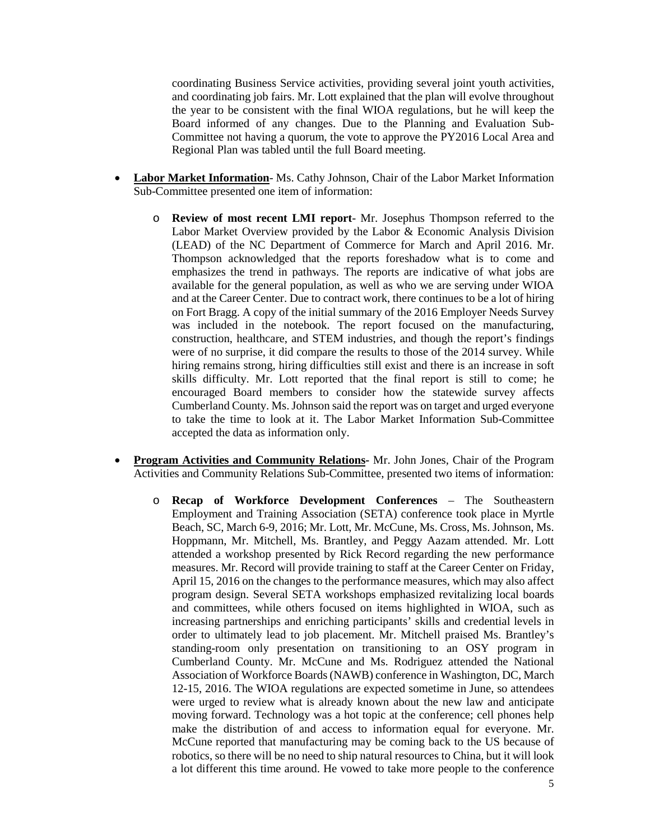coordinating Business Service activities, providing several joint youth activities, and coordinating job fairs. Mr. Lott explained that the plan will evolve throughout the year to be consistent with the final WIOA regulations, but he will keep the Board informed of any changes. Due to the Planning and Evaluation Sub-Committee not having a quorum, the vote to approve the PY2016 Local Area and Regional Plan was tabled until the full Board meeting.

- **Labor Market Information** Ms. Cathy Johnson, Chair of the Labor Market Information Sub-Committee presented one item of information:
	- o **Review of most recent LMI report** Mr. Josephus Thompson referred to the Labor Market Overview provided by the Labor & Economic Analysis Division (LEAD) of the NC Department of Commerce for March and April 2016. Mr. Thompson acknowledged that the reports foreshadow what is to come and emphasizes the trend in pathways. The reports are indicative of what jobs are available for the general population, as well as who we are serving under WIOA and at the Career Center. Due to contract work, there continues to be a lot of hiring on Fort Bragg. A copy of the initial summary of the 2016 Employer Needs Survey was included in the notebook. The report focused on the manufacturing, construction, healthcare, and STEM industries, and though the report's findings were of no surprise, it did compare the results to those of the 2014 survey. While hiring remains strong, hiring difficulties still exist and there is an increase in soft skills difficulty. Mr. Lott reported that the final report is still to come; he encouraged Board members to consider how the statewide survey affects Cumberland County. Ms. Johnson said the report was on target and urged everyone to take the time to look at it. The Labor Market Information Sub-Committee accepted the data as information only.
- **Program Activities and Community Relations-** Mr. John Jones, Chair of the Program Activities and Community Relations Sub-Committee, presented two items of information:
	- o **Recap of Workforce Development Conferences** The Southeastern Employment and Training Association (SETA) conference took place in Myrtle Beach, SC, March 6-9, 2016; Mr. Lott, Mr. McCune, Ms. Cross, Ms. Johnson, Ms. Hoppmann, Mr. Mitchell, Ms. Brantley, and Peggy Aazam attended. Mr. Lott attended a workshop presented by Rick Record regarding the new performance measures. Mr. Record will provide training to staff at the Career Center on Friday, April 15, 2016 on the changes to the performance measures, which may also affect program design. Several SETA workshops emphasized revitalizing local boards and committees, while others focused on items highlighted in WIOA, such as increasing partnerships and enriching participants' skills and credential levels in order to ultimately lead to job placement. Mr. Mitchell praised Ms. Brantley's standing-room only presentation on transitioning to an OSY program in Cumberland County. Mr. McCune and Ms. Rodriguez attended the National Association of Workforce Boards (NAWB) conference in Washington, DC, March 12-15, 2016. The WIOA regulations are expected sometime in June, so attendees were urged to review what is already known about the new law and anticipate moving forward. Technology was a hot topic at the conference; cell phones help make the distribution of and access to information equal for everyone. Mr. McCune reported that manufacturing may be coming back to the US because of robotics, so there will be no need to ship natural resources to China, but it will look a lot different this time around. He vowed to take more people to the conference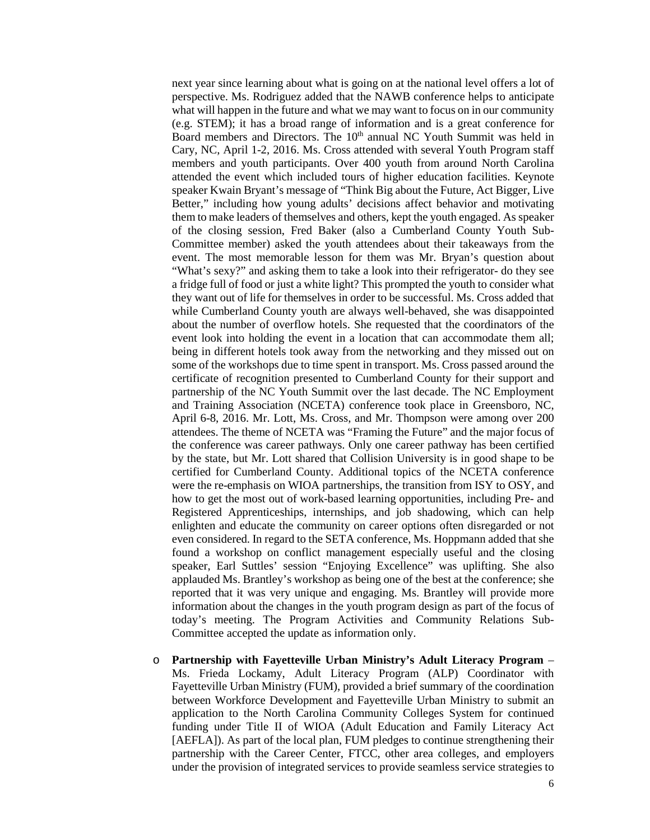next year since learning about what is going on at the national level offers a lot of perspective. Ms. Rodriguez added that the NAWB conference helps to anticipate what will happen in the future and what we may want to focus on in our community (e.g. STEM); it has a broad range of information and is a great conference for Board members and Directors. The 10<sup>th</sup> annual NC Youth Summit was held in Cary, NC, April 1-2, 2016. Ms. Cross attended with several Youth Program staff members and youth participants. Over 400 youth from around North Carolina attended the event which included tours of higher education facilities. Keynote speaker Kwain Bryant's message of "Think Big about the Future, Act Bigger, Live Better," including how young adults' decisions affect behavior and motivating them to make leaders of themselves and others, kept the youth engaged. As speaker of the closing session, Fred Baker (also a Cumberland County Youth Sub-Committee member) asked the youth attendees about their takeaways from the event. The most memorable lesson for them was Mr. Bryan's question about "What's sexy?" and asking them to take a look into their refrigerator- do they see a fridge full of food or just a white light? This prompted the youth to consider what they want out of life for themselves in order to be successful. Ms. Cross added that while Cumberland County youth are always well-behaved, she was disappointed about the number of overflow hotels. She requested that the coordinators of the event look into holding the event in a location that can accommodate them all; being in different hotels took away from the networking and they missed out on some of the workshops due to time spent in transport. Ms. Cross passed around the certificate of recognition presented to Cumberland County for their support and partnership of the NC Youth Summit over the last decade. The NC Employment and Training Association (NCETA) conference took place in Greensboro, NC, April 6-8, 2016. Mr. Lott, Ms. Cross, and Mr. Thompson were among over 200 attendees. The theme of NCETA was "Framing the Future" and the major focus of the conference was career pathways. Only one career pathway has been certified by the state, but Mr. Lott shared that Collision University is in good shape to be certified for Cumberland County. Additional topics of the NCETA conference were the re-emphasis on WIOA partnerships, the transition from ISY to OSY, and how to get the most out of work-based learning opportunities, including Pre- and Registered Apprenticeships, internships, and job shadowing, which can help enlighten and educate the community on career options often disregarded or not even considered. In regard to the SETA conference, Ms. Hoppmann added that she found a workshop on conflict management especially useful and the closing speaker, Earl Suttles' session "Enjoying Excellence" was uplifting. She also applauded Ms. Brantley's workshop as being one of the best at the conference; she reported that it was very unique and engaging. Ms. Brantley will provide more information about the changes in the youth program design as part of the focus of today's meeting. The Program Activities and Community Relations Sub-Committee accepted the update as information only.

o **Partnership with Fayetteville Urban Ministry's Adult Literacy Program** – Ms. Frieda Lockamy, Adult Literacy Program (ALP) Coordinator with Fayetteville Urban Ministry (FUM), provided a brief summary of the coordination between Workforce Development and Fayetteville Urban Ministry to submit an application to the North Carolina Community Colleges System for continued funding under Title II of WIOA (Adult Education and Family Literacy Act [AEFLA]). As part of the local plan, FUM pledges to continue strengthening their partnership with the Career Center, FTCC, other area colleges, and employers under the provision of integrated services to provide seamless service strategies to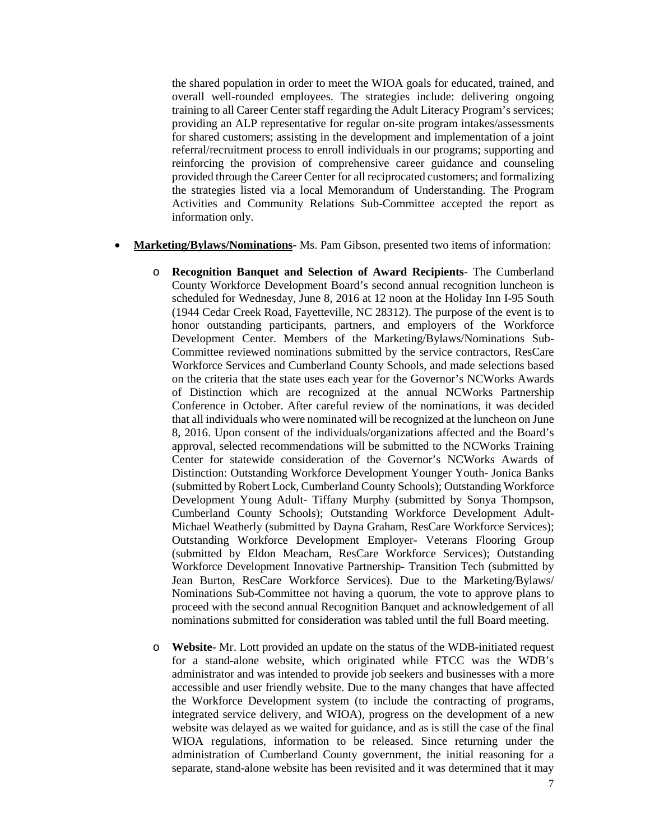the shared population in order to meet the WIOA goals for educated, trained, and overall well-rounded employees. The strategies include: delivering ongoing training to all Career Center staff regarding the Adult Literacy Program's services; providing an ALP representative for regular on-site program intakes/assessments for shared customers; assisting in the development and implementation of a joint referral/recruitment process to enroll individuals in our programs; supporting and reinforcing the provision of comprehensive career guidance and counseling provided through the Career Center for all reciprocated customers; and formalizing the strategies listed via a local Memorandum of Understanding. The Program Activities and Community Relations Sub-Committee accepted the report as information only.

- **Marketing/Bylaws/Nominations-** Ms. Pam Gibson, presented two items of information:
	- o **Recognition Banquet and Selection of Award Recipients** The Cumberland County Workforce Development Board's second annual recognition luncheon is scheduled for Wednesday, June 8, 2016 at 12 noon at the Holiday Inn I-95 South (1944 Cedar Creek Road, Fayetteville, NC 28312). The purpose of the event is to honor outstanding participants, partners, and employers of the Workforce Development Center. Members of the Marketing/Bylaws/Nominations Sub-Committee reviewed nominations submitted by the service contractors, ResCare Workforce Services and Cumberland County Schools, and made selections based on the criteria that the state uses each year for the Governor's NCWorks Awards of Distinction which are recognized at the annual NCWorks Partnership Conference in October. After careful review of the nominations, it was decided that all individuals who were nominated will be recognized at the luncheon on June 8, 2016. Upon consent of the individuals/organizations affected and the Board's approval, selected recommendations will be submitted to the NCWorks Training Center for statewide consideration of the Governor's NCWorks Awards of Distinction: Outstanding Workforce Development Younger Youth- Jonica Banks (submitted by Robert Lock, Cumberland County Schools); Outstanding Workforce Development Young Adult- Tiffany Murphy (submitted by Sonya Thompson, Cumberland County Schools); Outstanding Workforce Development Adult-Michael Weatherly (submitted by Dayna Graham, ResCare Workforce Services); Outstanding Workforce Development Employer- Veterans Flooring Group (submitted by Eldon Meacham, ResCare Workforce Services); Outstanding Workforce Development Innovative Partnership- Transition Tech (submitted by Jean Burton, ResCare Workforce Services). Due to the Marketing/Bylaws/ Nominations Sub-Committee not having a quorum, the vote to approve plans to proceed with the second annual Recognition Banquet and acknowledgement of all nominations submitted for consideration was tabled until the full Board meeting.
	- o **Website** Mr. Lott provided an update on the status of the WDB-initiated request for a stand-alone website, which originated while FTCC was the WDB's administrator and was intended to provide job seekers and businesses with a more accessible and user friendly website. Due to the many changes that have affected the Workforce Development system (to include the contracting of programs, integrated service delivery, and WIOA), progress on the development of a new website was delayed as we waited for guidance, and as is still the case of the final WIOA regulations, information to be released. Since returning under the administration of Cumberland County government, the initial reasoning for a separate, stand-alone website has been revisited and it was determined that it may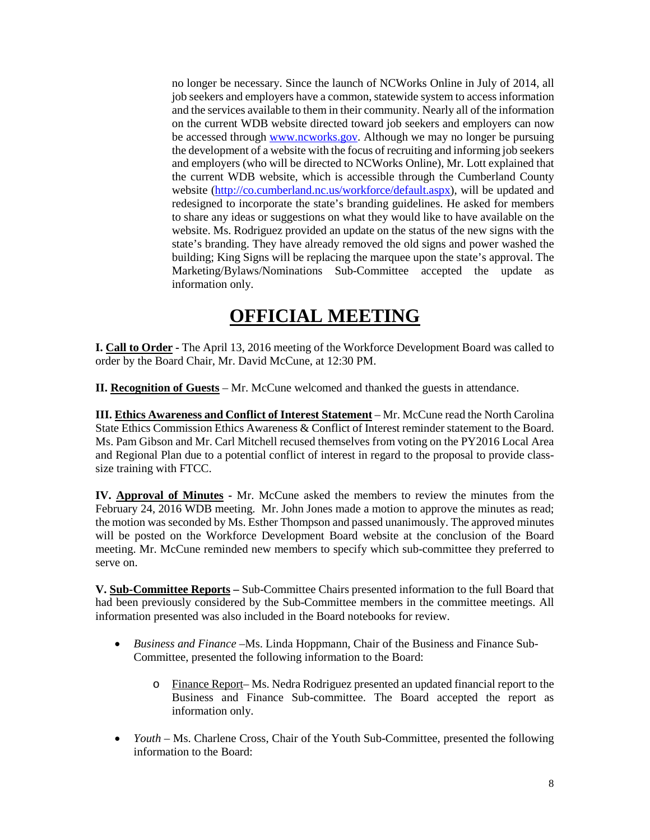no longer be necessary. Since the launch of NCWorks Online in July of 2014, all job seekers and employers have a common, statewide system to access information and the services available to them in their community. Nearly all of the information on the current WDB website directed toward job seekers and employers can now be accessed through [www.ncworks.gov.](http://www.ncworks.gov/) Although we may no longer be pursuing the development of a website with the focus of recruiting and informing job seekers and employers (who will be directed to NCWorks Online), Mr. Lott explained that the current WDB website, which is accessible through the Cumberland County website [\(http://co.cumberland.nc.us/workforce/default.aspx\)](http://co.cumberland.nc.us/workforce/default.aspx), will be updated and redesigned to incorporate the state's branding guidelines. He asked for members to share any ideas or suggestions on what they would like to have available on the website. Ms. Rodriguez provided an update on the status of the new signs with the state's branding. They have already removed the old signs and power washed the building; King Signs will be replacing the marquee upon the state's approval. The Marketing/Bylaws/Nominations Sub-Committee accepted the update as information only.

# **OFFICIAL MEETING**

**I. Call to Order -** The April 13, 2016 meeting of the Workforce Development Board was called to order by the Board Chair, Mr. David McCune, at 12:30 PM.

**II. Recognition of Guests** – Mr. McCune welcomed and thanked the guests in attendance.

**III. Ethics Awareness and Conflict of Interest Statement** – Mr. McCune read the North Carolina State Ethics Commission Ethics Awareness & Conflict of Interest reminder statement to the Board. Ms. Pam Gibson and Mr. Carl Mitchell recused themselves from voting on the PY2016 Local Area and Regional Plan due to a potential conflict of interest in regard to the proposal to provide classsize training with FTCC.

**IV. Approval of Minutes -** Mr. McCune asked the members to review the minutes from the February 24, 2016 WDB meeting. Mr. John Jones made a motion to approve the minutes as read; the motion was seconded by Ms. Esther Thompson and passed unanimously. The approved minutes will be posted on the Workforce Development Board website at the conclusion of the Board meeting. Mr. McCune reminded new members to specify which sub-committee they preferred to serve on.

**V. Sub-Committee Reports –** Sub-Committee Chairs presented information to the full Board that had been previously considered by the Sub-Committee members in the committee meetings. All information presented was also included in the Board notebooks for review.

- *Business and Finance –*Ms. Linda Hoppmann, Chair of the Business and Finance Sub-Committee, presented the following information to the Board:
	- o Finance Report– Ms. Nedra Rodriguez presented an updated financial report to the Business and Finance Sub-committee. The Board accepted the report as information only.
- *Youth* Ms. Charlene Cross, Chair of the Youth Sub-Committee, presented the following information to the Board: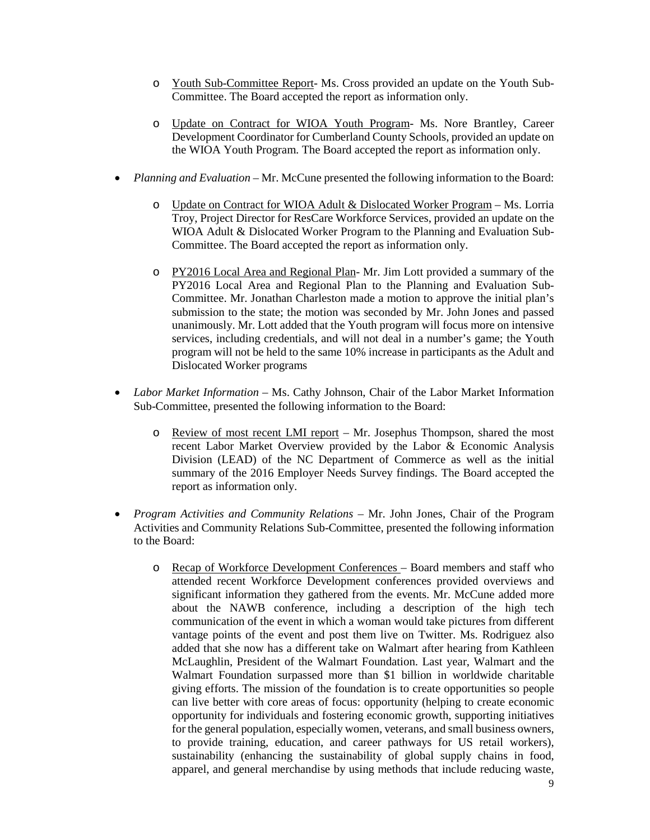- o Youth Sub-Committee Report- Ms. Cross provided an update on the Youth Sub-Committee. The Board accepted the report as information only.
- o Update on Contract for WIOA Youth Program- Ms. Nore Brantley, Career Development Coordinator for Cumberland County Schools, provided an update on the WIOA Youth Program. The Board accepted the report as information only.
- *Planning and Evaluation* Mr. McCune presented the following information to the Board:
	- o Update on Contract for WIOA Adult & Dislocated Worker Program Ms. Lorria Troy, Project Director for ResCare Workforce Services, provided an update on the WIOA Adult & Dislocated Worker Program to the Planning and Evaluation Sub-Committee. The Board accepted the report as information only.
	- o PY2016 Local Area and Regional Plan- Mr. Jim Lott provided a summary of the PY2016 Local Area and Regional Plan to the Planning and Evaluation Sub-Committee. Mr. Jonathan Charleston made a motion to approve the initial plan's submission to the state; the motion was seconded by Mr. John Jones and passed unanimously. Mr. Lott added that the Youth program will focus more on intensive services, including credentials, and will not deal in a number's game; the Youth program will not be held to the same 10% increase in participants as the Adult and Dislocated Worker programs
- *Labor Market Information* Ms. Cathy Johnson, Chair of the Labor Market Information Sub-Committee, presented the following information to the Board:
	- o Review of most recent LMI report Mr. Josephus Thompson, shared the most recent Labor Market Overview provided by the Labor & Economic Analysis Division (LEAD) of the NC Department of Commerce as well as the initial summary of the 2016 Employer Needs Survey findings. The Board accepted the report as information only.
- *Program Activities and Community Relations –* Mr. John Jones, Chair of the Program Activities and Community Relations Sub-Committee, presented the following information to the Board:
	- o Recap of Workforce Development Conferences Board members and staff who attended recent Workforce Development conferences provided overviews and significant information they gathered from the events. Mr. McCune added more about the NAWB conference, including a description of the high tech communication of the event in which a woman would take pictures from different vantage points of the event and post them live on Twitter. Ms. Rodriguez also added that she now has a different take on Walmart after hearing from Kathleen McLaughlin, President of the Walmart Foundation. Last year, Walmart and the Walmart Foundation surpassed more than \$1 billion in worldwide charitable giving efforts. The mission of the foundation is to create opportunities so people can live better with core areas of focus: opportunity (helping to create economic opportunity for individuals and fostering economic growth, supporting initiatives for the general population, especially women, veterans, and small business owners, to provide training, education, and career pathways for US retail workers), sustainability (enhancing the sustainability of global supply chains in food, apparel, and general merchandise by using methods that include reducing waste,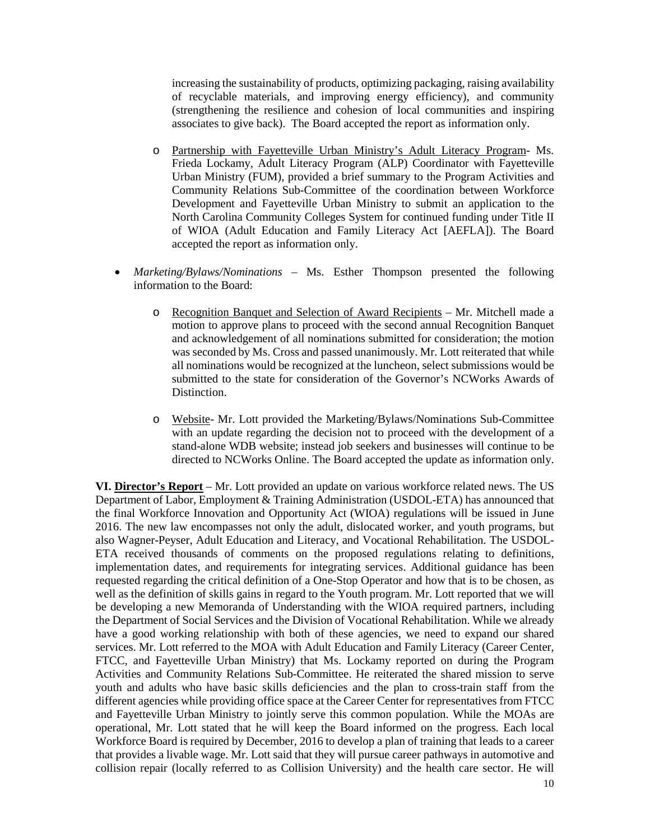increasing the sustainability of products, optimizing packaging, raising availability of recyclable materials, and improving energy efficiency), and community (strengthening the resilience and cohesion of local communities and inspiring associates to give back). The Board accepted the report as information only.

- o Partnership with Fayetteville Urban Ministry's Adult Literacy Program- Ms. Frieda Lockamy, Adult Literacy Program (ALP) Coordinator with Fayetteville Urban Ministry (FUM), provided a brief summary to the Program Activities and Community Relations Sub-Committee of the coordination between Workforce Development and Fayetteville Urban Ministry to submit an application to the North Carolina Community Colleges System for continued funding under Title II of WIOA (Adult Education and Family Literacy Act [AEFLA]). The Board accepted the report as information only.
- *Marketing/Bylaws/Nominations –* Ms. Esther Thompson presented the following information to the Board:
	- o Recognition Banquet and Selection of Award Recipients Mr. Mitchell made a motion to approve plans to proceed with the second annual Recognition Banquet and acknowledgement of all nominations submitted for consideration; the motion was seconded by Ms. Cross and passed unanimously. Mr. Lott reiterated that while all nominations would be recognized at the luncheon, select submissions would be submitted to the state for consideration of the Governor's NCWorks Awards of Distinction.
	- o Website- Mr. Lott provided the Marketing/Bylaws/Nominations Sub-Committee with an update regarding the decision not to proceed with the development of a stand-alone WDB website; instead job seekers and businesses will continue to be directed to NCWorks Online. The Board accepted the update as information only.

**VI. Director's Report** – Mr. Lott provided an update on various workforce related news. The US Department of Labor, Employment & Training Administration (USDOL-ETA) has announced that the final Workforce Innovation and Opportunity Act (WIOA) regulations will be issued in June 2016. The new law encompasses not only the adult, dislocated worker, and youth programs, but also Wagner-Peyser, Adult Education and Literacy, and Vocational Rehabilitation. The USDOL-ETA received thousands of comments on the proposed regulations relating to definitions, implementation dates, and requirements for integrating services. Additional guidance has been requested regarding the critical definition of a One-Stop Operator and how that is to be chosen, as well as the definition of skills gains in regard to the Youth program. Mr. Lott reported that we will be developing a new Memoranda of Understanding with the WIOA required partners, including the Department of Social Services and the Division of Vocational Rehabilitation. While we already have a good working relationship with both of these agencies, we need to expand our shared services. Mr. Lott referred to the MOA with Adult Education and Family Literacy (Career Center, FTCC, and Fayetteville Urban Ministry) that Ms. Lockamy reported on during the Program Activities and Community Relations Sub-Committee. He reiterated the shared mission to serve youth and adults who have basic skills deficiencies and the plan to cross-train staff from the different agencies while providing office space at the Career Center for representatives from FTCC and Fayetteville Urban Ministry to jointly serve this common population. While the MOAs are operational, Mr. Lott stated that he will keep the Board informed on the progress. Each local Workforce Board is required by December, 2016 to develop a plan of training that leads to a career that provides a livable wage. Mr. Lott said that they will pursue career pathways in automotive and collision repair (locally referred to as Collision University) and the health care sector. He will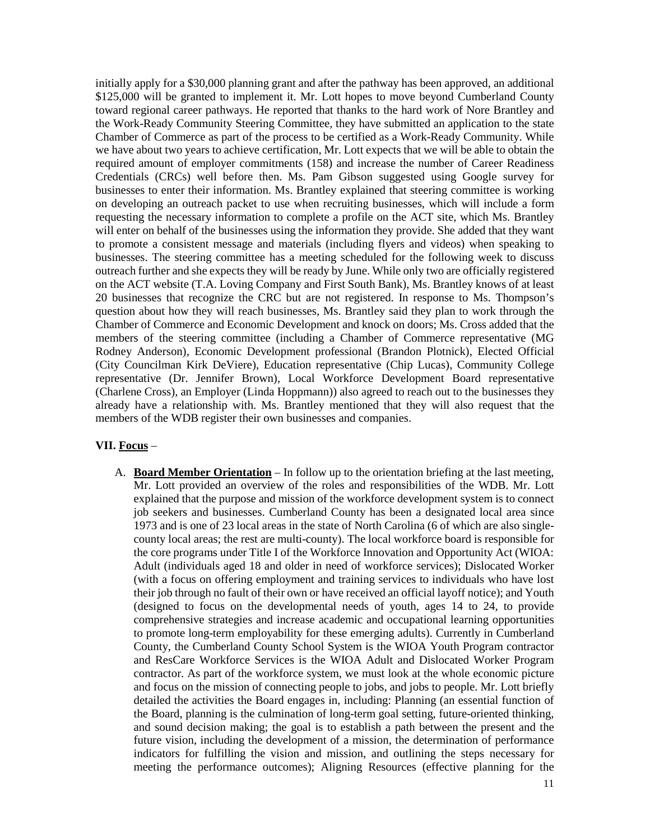initially apply for a \$30,000 planning grant and after the pathway has been approved, an additional \$125,000 will be granted to implement it. Mr. Lott hopes to move beyond Cumberland County toward regional career pathways. He reported that thanks to the hard work of Nore Brantley and the Work-Ready Community Steering Committee, they have submitted an application to the state Chamber of Commerce as part of the process to be certified as a Work-Ready Community. While we have about two years to achieve certification, Mr. Lott expects that we will be able to obtain the required amount of employer commitments (158) and increase the number of Career Readiness Credentials (CRCs) well before then. Ms. Pam Gibson suggested using Google survey for businesses to enter their information. Ms. Brantley explained that steering committee is working on developing an outreach packet to use when recruiting businesses, which will include a form requesting the necessary information to complete a profile on the ACT site, which Ms. Brantley will enter on behalf of the businesses using the information they provide. She added that they want to promote a consistent message and materials (including flyers and videos) when speaking to businesses. The steering committee has a meeting scheduled for the following week to discuss outreach further and she expects they will be ready by June. While only two are officially registered on the ACT website (T.A. Loving Company and First South Bank), Ms. Brantley knows of at least 20 businesses that recognize the CRC but are not registered. In response to Ms. Thompson's question about how they will reach businesses, Ms. Brantley said they plan to work through the Chamber of Commerce and Economic Development and knock on doors; Ms. Cross added that the members of the steering committee (including a Chamber of Commerce representative (MG Rodney Anderson), Economic Development professional (Brandon Plotnick), Elected Official (City Councilman Kirk DeViere), Education representative (Chip Lucas), Community College representative (Dr. Jennifer Brown), Local Workforce Development Board representative (Charlene Cross), an Employer (Linda Hoppmann)) also agreed to reach out to the businesses they already have a relationship with. Ms. Brantley mentioned that they will also request that the members of the WDB register their own businesses and companies.

# **VII. Focus** –

A. **Board Member Orientation** – In follow up to the orientation briefing at the last meeting, Mr. Lott provided an overview of the roles and responsibilities of the WDB. Mr. Lott explained that the purpose and mission of the workforce development system is to connect job seekers and businesses. Cumberland County has been a designated local area since 1973 and is one of 23 local areas in the state of North Carolina (6 of which are also singlecounty local areas; the rest are multi-county). The local workforce board is responsible for the core programs under Title I of the Workforce Innovation and Opportunity Act (WIOA: Adult (individuals aged 18 and older in need of workforce services); Dislocated Worker (with a focus on offering employment and training services to individuals who have lost their job through no fault of their own or have received an official layoff notice); and Youth (designed to focus on the developmental needs of youth, ages 14 to 24, to provide comprehensive strategies and increase academic and occupational learning opportunities to promote long-term employability for these emerging adults). Currently in Cumberland County, the Cumberland County School System is the WIOA Youth Program contractor and ResCare Workforce Services is the WIOA Adult and Dislocated Worker Program contractor. As part of the workforce system, we must look at the whole economic picture and focus on the mission of connecting people to jobs, and jobs to people. Mr. Lott briefly detailed the activities the Board engages in, including: Planning (an essential function of the Board, planning is the culmination of long-term goal setting, future-oriented thinking, and sound decision making; the goal is to establish a path between the present and the future vision, including the development of a mission, the determination of performance indicators for fulfilling the vision and mission, and outlining the steps necessary for meeting the performance outcomes); Aligning Resources (effective planning for the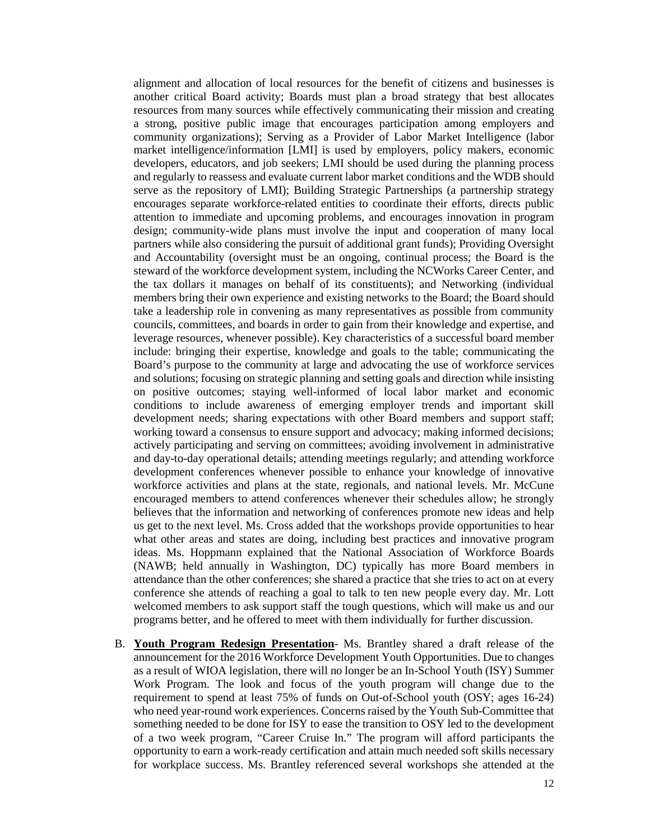alignment and allocation of local resources for the benefit of citizens and businesses is another critical Board activity; Boards must plan a broad strategy that best allocates resources from many sources while effectively communicating their mission and creating a strong, positive public image that encourages participation among employers and community organizations); Serving as a Provider of Labor Market Intelligence (labor market intelligence/information [LMI] is used by employers, policy makers, economic developers, educators, and job seekers; LMI should be used during the planning process and regularly to reassess and evaluate current labor market conditions and the WDB should serve as the repository of LMI); Building Strategic Partnerships (a partnership strategy encourages separate workforce-related entities to coordinate their efforts, directs public attention to immediate and upcoming problems, and encourages innovation in program design; community-wide plans must involve the input and cooperation of many local partners while also considering the pursuit of additional grant funds); Providing Oversight and Accountability (oversight must be an ongoing, continual process; the Board is the steward of the workforce development system, including the NCWorks Career Center, and the tax dollars it manages on behalf of its constituents); and Networking (individual members bring their own experience and existing networks to the Board; the Board should take a leadership role in convening as many representatives as possible from community councils, committees, and boards in order to gain from their knowledge and expertise, and leverage resources, whenever possible). Key characteristics of a successful board member include: bringing their expertise, knowledge and goals to the table; communicating the Board's purpose to the community at large and advocating the use of workforce services and solutions; focusing on strategic planning and setting goals and direction while insisting on positive outcomes; staying well-informed of local labor market and economic conditions to include awareness of emerging employer trends and important skill development needs; sharing expectations with other Board members and support staff; working toward a consensus to ensure support and advocacy; making informed decisions; actively participating and serving on committees; avoiding involvement in administrative and day-to-day operational details; attending meetings regularly; and attending workforce development conferences whenever possible to enhance your knowledge of innovative workforce activities and plans at the state, regionals, and national levels. Mr. McCune encouraged members to attend conferences whenever their schedules allow; he strongly believes that the information and networking of conferences promote new ideas and help us get to the next level. Ms. Cross added that the workshops provide opportunities to hear what other areas and states are doing, including best practices and innovative program ideas. Ms. Hoppmann explained that the National Association of Workforce Boards (NAWB; held annually in Washington, DC) typically has more Board members in attendance than the other conferences; she shared a practice that she tries to act on at every conference she attends of reaching a goal to talk to ten new people every day. Mr. Lott welcomed members to ask support staff the tough questions, which will make us and our programs better, and he offered to meet with them individually for further discussion.

B. **Youth Program Redesign Presentation**- Ms. Brantley shared a draft release of the announcement for the 2016 Workforce Development Youth Opportunities. Due to changes as a result of WIOA legislation, there will no longer be an In-School Youth (ISY) Summer Work Program. The look and focus of the youth program will change due to the requirement to spend at least 75% of funds on Out-of-School youth (OSY; ages 16-24) who need year-round work experiences. Concerns raised by the Youth Sub-Committee that something needed to be done for ISY to ease the transition to OSY led to the development of a two week program, "Career Cruise In." The program will afford participants the opportunity to earn a work-ready certification and attain much needed soft skills necessary for workplace success. Ms. Brantley referenced several workshops she attended at the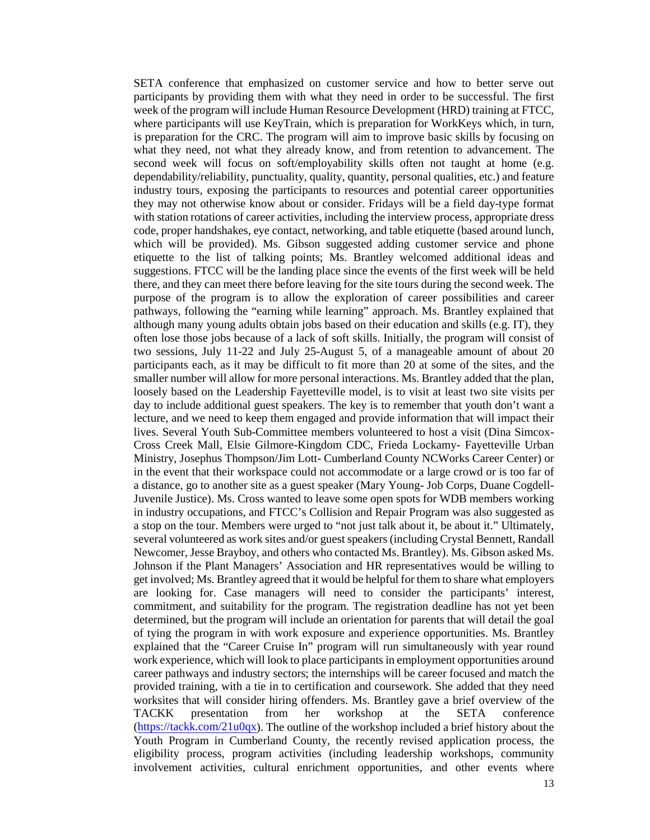SETA conference that emphasized on customer service and how to better serve out participants by providing them with what they need in order to be successful. The first week of the program will include Human Resource Development (HRD) training at FTCC, where participants will use KeyTrain, which is preparation for WorkKeys which, in turn, is preparation for the CRC. The program will aim to improve basic skills by focusing on what they need, not what they already know, and from retention to advancement. The second week will focus on soft/employability skills often not taught at home (e.g. dependability/reliability, punctuality, quality, quantity, personal qualities, etc.) and feature industry tours, exposing the participants to resources and potential career opportunities they may not otherwise know about or consider. Fridays will be a field day-type format with station rotations of career activities, including the interview process, appropriate dress code, proper handshakes, eye contact, networking, and table etiquette (based around lunch, which will be provided). Ms. Gibson suggested adding customer service and phone etiquette to the list of talking points; Ms. Brantley welcomed additional ideas and suggestions. FTCC will be the landing place since the events of the first week will be held there, and they can meet there before leaving for the site tours during the second week. The purpose of the program is to allow the exploration of career possibilities and career pathways, following the "earning while learning" approach. Ms. Brantley explained that although many young adults obtain jobs based on their education and skills (e.g. IT), they often lose those jobs because of a lack of soft skills. Initially, the program will consist of two sessions, July 11-22 and July 25-August 5, of a manageable amount of about 20 participants each, as it may be difficult to fit more than 20 at some of the sites, and the smaller number will allow for more personal interactions. Ms. Brantley added that the plan, loosely based on the Leadership Fayetteville model, is to visit at least two site visits per day to include additional guest speakers. The key is to remember that youth don't want a lecture, and we need to keep them engaged and provide information that will impact their lives. Several Youth Sub-Committee members volunteered to host a visit (Dina Simcox-Cross Creek Mall, Elsie Gilmore-Kingdom CDC, Frieda Lockamy- Fayetteville Urban Ministry, Josephus Thompson/Jim Lott- Cumberland County NCWorks Career Center) or in the event that their workspace could not accommodate or a large crowd or is too far of a distance, go to another site as a guest speaker (Mary Young- Job Corps, Duane Cogdell-Juvenile Justice). Ms. Cross wanted to leave some open spots for WDB members working in industry occupations, and FTCC's Collision and Repair Program was also suggested as a stop on the tour. Members were urged to "not just talk about it, be about it." Ultimately, several volunteered as work sites and/or guest speakers (including Crystal Bennett, Randall Newcomer, Jesse Brayboy, and others who contacted Ms. Brantley). Ms. Gibson asked Ms. Johnson if the Plant Managers' Association and HR representatives would be willing to get involved; Ms. Brantley agreed that it would be helpful for them to share what employers are looking for. Case managers will need to consider the participants' interest, commitment, and suitability for the program. The registration deadline has not yet been determined, but the program will include an orientation for parents that will detail the goal of tying the program in with work exposure and experience opportunities. Ms. Brantley explained that the "Career Cruise In" program will run simultaneously with year round work experience, which will look to place participants in employment opportunities around career pathways and industry sectors; the internships will be career focused and match the provided training, with a tie in to certification and coursework. She added that they need worksites that will consider hiring offenders. Ms. Brantley gave a brief overview of the TACKK presentation from her workshop at the SETA conference [\(https://tackk.com/21u0qx\)](https://tackk.com/21u0qx). The outline of the workshop included a brief history about the Youth Program in Cumberland County, the recently revised application process, the eligibility process, program activities (including leadership workshops, community involvement activities, cultural enrichment opportunities, and other events where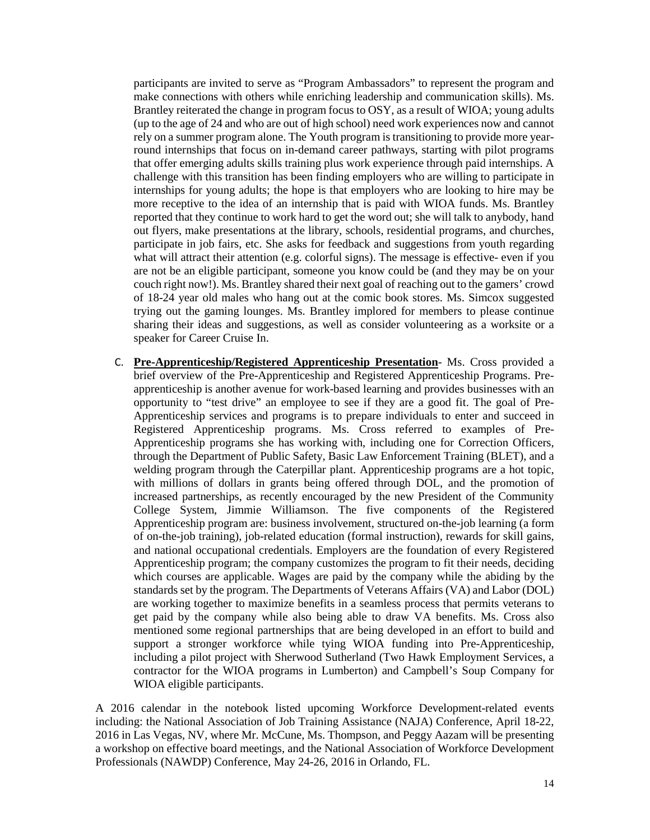participants are invited to serve as "Program Ambassadors" to represent the program and make connections with others while enriching leadership and communication skills). Ms. Brantley reiterated the change in program focus to OSY, as a result of WIOA; young adults (up to the age of 24 and who are out of high school) need work experiences now and cannot rely on a summer program alone. The Youth program is transitioning to provide more yearround internships that focus on in-demand career pathways, starting with pilot programs that offer emerging adults skills training plus work experience through paid internships. A challenge with this transition has been finding employers who are willing to participate in internships for young adults; the hope is that employers who are looking to hire may be more receptive to the idea of an internship that is paid with WIOA funds. Ms. Brantley reported that they continue to work hard to get the word out; she will talk to anybody, hand out flyers, make presentations at the library, schools, residential programs, and churches, participate in job fairs, etc. She asks for feedback and suggestions from youth regarding what will attract their attention (e.g. colorful signs). The message is effective- even if you are not be an eligible participant, someone you know could be (and they may be on your couch right now!). Ms. Brantley shared their next goal of reaching out to the gamers' crowd of 18-24 year old males who hang out at the comic book stores. Ms. Simcox suggested trying out the gaming lounges. Ms. Brantley implored for members to please continue sharing their ideas and suggestions, as well as consider volunteering as a worksite or a speaker for Career Cruise In.

C. **Pre-Apprenticeship/Registered Apprenticeship Presentation**- Ms. Cross provided a brief overview of the Pre-Apprenticeship and Registered Apprenticeship Programs. Preapprenticeship is another avenue for work-based learning and provides businesses with an opportunity to "test drive" an employee to see if they are a good fit. The goal of Pre-Apprenticeship services and programs is to prepare individuals to enter and succeed in Registered Apprenticeship programs. Ms. Cross referred to examples of Pre-Apprenticeship programs she has working with, including one for Correction Officers, through the Department of Public Safety, Basic Law Enforcement Training (BLET), and a welding program through the Caterpillar plant. Apprenticeship programs are a hot topic, with millions of dollars in grants being offered through DOL, and the promotion of increased partnerships, as recently encouraged by the new President of the Community College System, Jimmie Williamson. The five components of the Registered Apprenticeship program are: business involvement, structured on-the-job learning (a form of on-the-job training), job-related education (formal instruction), rewards for skill gains, and national occupational credentials. Employers are the foundation of every Registered Apprenticeship program; the company customizes the program to fit their needs, deciding which courses are applicable. Wages are paid by the company while the abiding by the standards set by the program. The Departments of Veterans Affairs (VA) and Labor (DOL) are working together to maximize benefits in a seamless process that permits veterans to get paid by the company while also being able to draw VA benefits. Ms. Cross also mentioned some regional partnerships that are being developed in an effort to build and support a stronger workforce while tying WIOA funding into Pre-Apprenticeship, including a pilot project with Sherwood Sutherland (Two Hawk Employment Services, a contractor for the WIOA programs in Lumberton) and Campbell's Soup Company for WIOA eligible participants.

A 2016 calendar in the notebook listed upcoming Workforce Development-related events including: the National Association of Job Training Assistance (NAJA) Conference, April 18-22, 2016 in Las Vegas, NV, where Mr. McCune, Ms. Thompson, and Peggy Aazam will be presenting a workshop on effective board meetings, and the National Association of Workforce Development Professionals (NAWDP) Conference, May 24-26, 2016 in Orlando, FL.